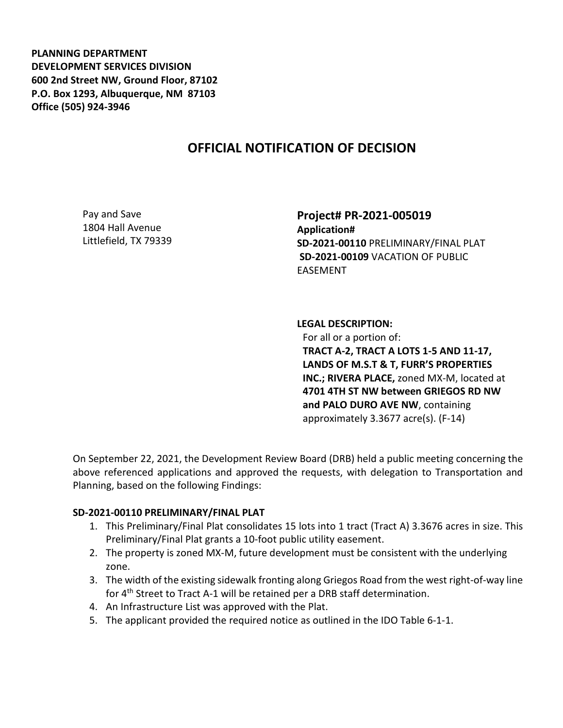**PLANNING DEPARTMENT DEVELOPMENT SERVICES DIVISION 600 2nd Street NW, Ground Floor, 87102 P.O. Box 1293, Albuquerque, NM 87103 Office (505) 924-3946** 

## **OFFICIAL NOTIFICATION OF DECISION**

Pay and Save 1804 Hall Avenue Littlefield, TX 79339 **Project# PR-2021-005019 Application# SD-2021-00110** PRELIMINARY/FINAL PLAT **SD-2021-00109** VACATION OF PUBLIC EASEMENT

**LEGAL DESCRIPTION:** For all or a portion of: **TRACT A-2, TRACT A LOTS 1-5 AND 11-17, LANDS OF M.S.T & T, FURR'S PROPERTIES INC.; RIVERA PLACE,** zoned MX-M, located at **4701 4TH ST NW between GRIEGOS RD NW and PALO DURO AVE NW**, containing approximately 3.3677 acre(s). (F-14)

On September 22, 2021, the Development Review Board (DRB) held a public meeting concerning the above referenced applications and approved the requests, with delegation to Transportation and Planning, based on the following Findings:

## **SD-2021-00110 PRELIMINARY/FINAL PLAT**

- 1. This Preliminary/Final Plat consolidates 15 lots into 1 tract (Tract A) 3.3676 acres in size. This Preliminary/Final Plat grants a 10-foot public utility easement.
- 2. The property is zoned MX-M, future development must be consistent with the underlying zone.
- 3. The width of the existing sidewalk fronting along Griegos Road from the west right-of-way line for 4th Street to Tract A-1 will be retained per a DRB staff determination.
- 4. An Infrastructure List was approved with the Plat.
- 5. The applicant provided the required notice as outlined in the IDO Table 6-1-1.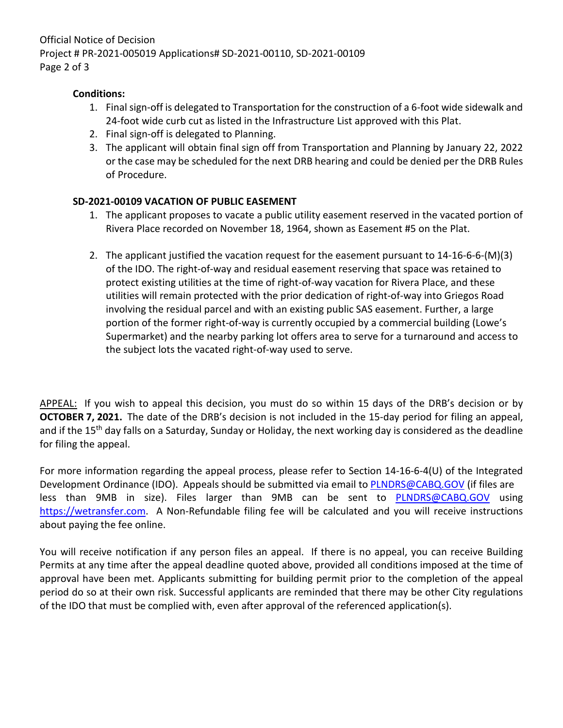Official Notice of Decision Project # PR-2021-005019 Applications# SD-2021-00110, SD-2021-00109 Page 2 of 3

## **Conditions:**

- 1. Final sign-off is delegated to Transportation for the construction of a 6-foot wide sidewalk and 24-foot wide curb cut as listed in the Infrastructure List approved with this Plat.
- 2. Final sign-off is delegated to Planning.
- 3. The applicant will obtain final sign off from Transportation and Planning by January 22, 2022 or the case may be scheduled for the next DRB hearing and could be denied per the DRB Rules of Procedure.

## **SD-2021-00109 VACATION OF PUBLIC EASEMENT**

- 1. The applicant proposes to vacate a public utility easement reserved in the vacated portion of Rivera Place recorded on November 18, 1964, shown as Easement #5 on the Plat.
- 2. The applicant justified the vacation request for the easement pursuant to 14-16-6-6-(M)(3) of the IDO. The right-of-way and residual easement reserving that space was retained to protect existing utilities at the time of right-of-way vacation for Rivera Place, and these utilities will remain protected with the prior dedication of right-of-way into Griegos Road involving the residual parcel and with an existing public SAS easement. Further, a large portion of the former right-of-way is currently occupied by a commercial building (Lowe's Supermarket) and the nearby parking lot offers area to serve for a turnaround and access to the subject lots the vacated right-of-way used to serve.

APPEAL: If you wish to appeal this decision, you must do so within 15 days of the DRB's decision or by **OCTOBER 7, 2021.** The date of the DRB's decision is not included in the 15-day period for filing an appeal, and if the 15<sup>th</sup> day falls on a Saturday, Sunday or Holiday, the next working day is considered as the deadline for filing the appeal.

For more information regarding the appeal process, please refer to Section 14-16-6-4(U) of the Integrated Development Ordinance (IDO). Appeals should be submitted via email to [PLNDRS@CABQ.GOV](mailto:PLNDRS@CABQ.GOV) (if files are less than 9MB in size). Files larger than 9MB can be sent to [PLNDRS@CABQ.GOV](mailto:PLNDRS@CABQ.GOV) using [https://wetransfer.com.](https://wetransfer.com/) A Non-Refundable filing fee will be calculated and you will receive instructions about paying the fee online.

You will receive notification if any person files an appeal. If there is no appeal, you can receive Building Permits at any time after the appeal deadline quoted above, provided all conditions imposed at the time of approval have been met. Applicants submitting for building permit prior to the completion of the appeal period do so at their own risk. Successful applicants are reminded that there may be other City regulations of the IDO that must be complied with, even after approval of the referenced application(s).